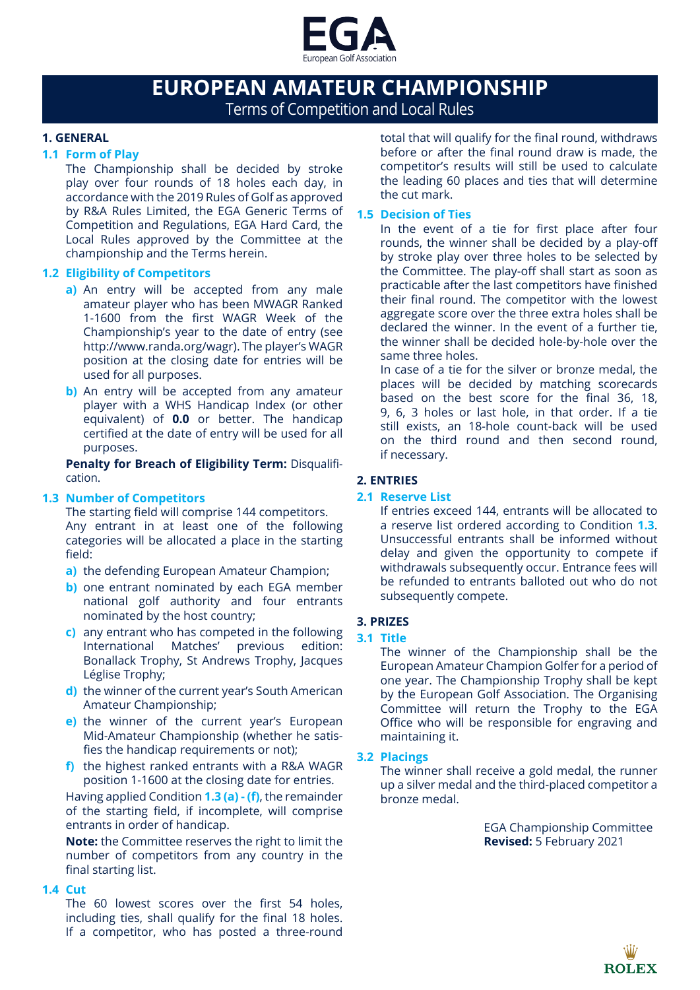

# **EUROPEAN AMATEUR CHAMPIONSHIP** Terms of Competition and Local Rules

# **1. GENERAL**

## **1.1 Form of Play**

The Championship shall be decided by stroke play over four rounds of 18 holes each day, in accordance with the 2019 Rules of Golf as approved by R&A Rules Limited, the EGA Generic Terms of Competition and Regulations, EGA Hard Card, the Local Rules approved by the Committee at the championship and the Terms herein.

# **1.2 Eligibility of Competitors**

- **a)** An entry will be accepted from any male amateur player who has been MWAGR Ranked 1-1600 from the first WAGR Week of the Championship's year to the date of entry (see http://www.randa.org/wagr). The player's WAGR position at the closing date for entries will be used for all purposes.
- **b**) An entry will be accepted from any amateur player with a WHS Handicap Index (or other equivalent) of **0.0** or better. The handicap certified at the date of entry will be used for all purposes.

**Penalty for Breach of Eligibility Term: Disqualifi**cation.

# **1.3 Number of Competitors**

The starting field will comprise 144 competitors. Any entrant in at least one of the following categories will be allocated a place in the starting field:

- **a)** the defending European Amateur Champion;
- **b**) one entrant nominated by each EGA member national golf authority and four entrants nominated by the host country;
- **c)** any entrant who has competed in the following International Matches' previous edition: Bonallack Trophy, St Andrews Trophy, Jacques Léglise Trophy;
- **d)** the winner of the current year's South American Amateur Championship;
- **e)** the winner of the current year's European Mid-Amateur Championship (whether he satisfies the handicap requirements or not);
- **f)** the highest ranked entrants with a R&A WAGR position 1-1600 at the closing date for entries.

Having applied Condition **1.3 (a) - (f)**, the remainder of the starting field, if incomplete, will comprise entrants in order of handicap.

**Note:** the Committee reserves the right to limit the number of competitors from any country in the final starting list.

## **1.4 Cut**

The 60 lowest scores over the first 54 holes, including ties, shall qualify for the final 18 holes. If a competitor, who has posted a three-round total that will qualify for the final round, withdraws before or after the final round draw is made, the competitor's results will still be used to calculate the leading 60 places and ties that will determine the cut mark.

# **1.5 Decision of Ties**

In the event of a tie for first place after four rounds, the winner shall be decided by a play-off by stroke play over three holes to be selected by the Committee. The play-off shall start as soon as practicable after the last competitors have finished their final round. The competitor with the lowest aggregate score over the three extra holes shall be declared the winner. In the event of a further tie, the winner shall be decided hole-by-hole over the same three holes.

In case of a tie for the silver or bronze medal, the places will be decided by matching scorecards based on the best score for the final 36, 18, 9, 6, 3 holes or last hole, in that order. If a tie still exists, an 18-hole count-back will be used on the third round and then second round, if necessary.

# **2. ENTRIES**

## **2.1 Reserve List**

If entries exceed 144, entrants will be allocated to a reserve list ordered according to Condition **1.3**. Unsuccessful entrants shall be informed without delay and given the opportunity to compete if withdrawals subsequently occur. Entrance fees will be refunded to entrants balloted out who do not subsequently compete.

## **3. PRIZES**

## **3.1 Title**

The winner of the Championship shall be the European Amateur Champion Golfer for a period of one year. The Championship Trophy shall be kept by the European Golf Association. The Organising Committee will return the Trophy to the EGA Office who will be responsible for engraving and maintaining it.

## **3.2 Placings**

The winner shall receive a gold medal, the runner up a silver medal and the third-placed competitor a bronze medal.

> EGA Championship Committee **Revised:** 5 February 2021